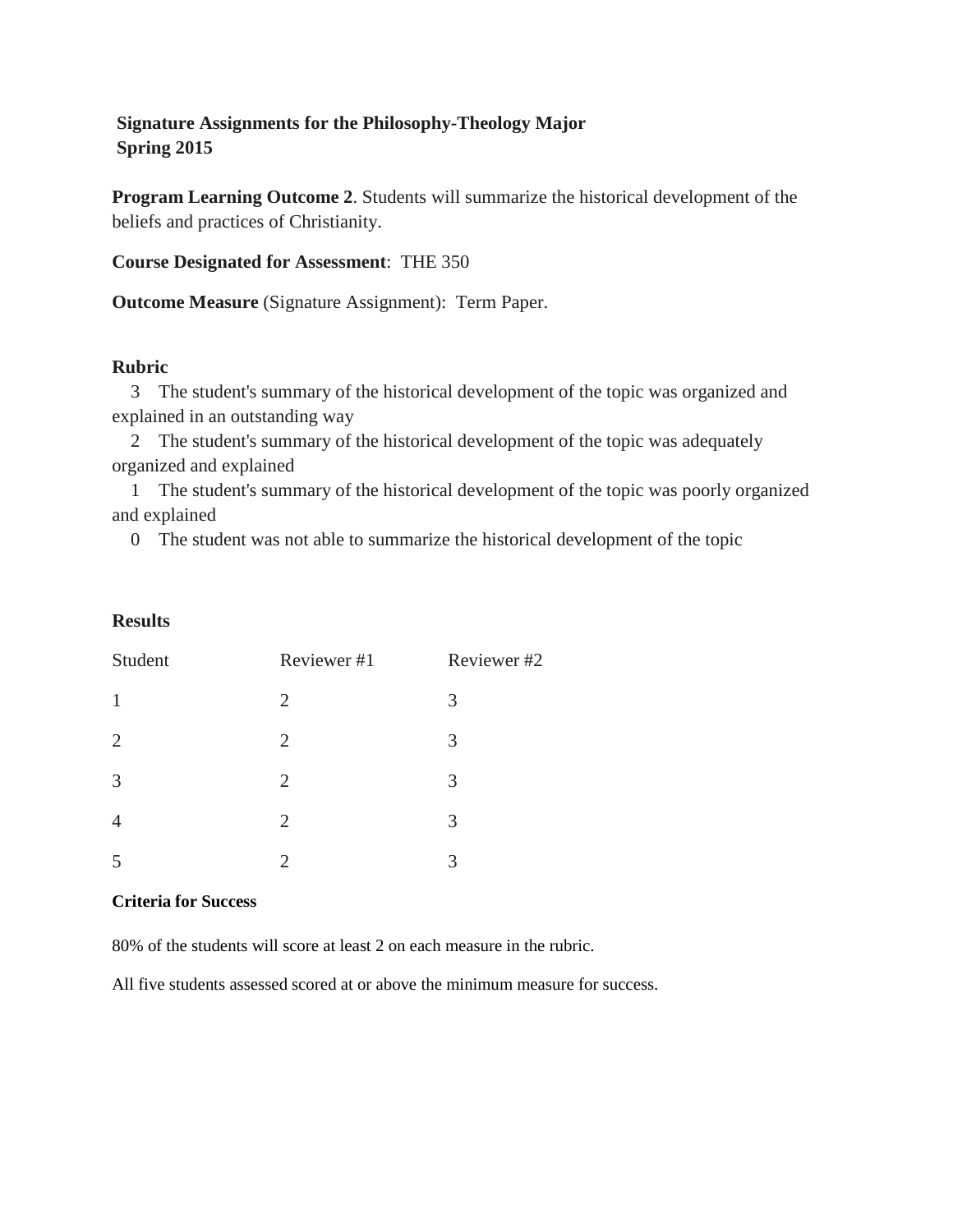# **Signature Assignments for the Philosophy-Theology Major Spring 2015**

**Program Learning Outcome 2**. Students will summarize the historical development of the beliefs and practices of Christianity.

**Course Designated for Assessment**: THE 350

**Outcome Measure** (Signature Assignment): Term Paper.

### **Rubric**

 3 The student's summary of the historical development of the topic was organized and explained in an outstanding way

 2 The student's summary of the historical development of the topic was adequately organized and explained

 1 The student's summary of the historical development of the topic was poorly organized and explained

0 The student was not able to summarize the historical development of the topic

### **Results**

| Student        | Reviewer #1    | Reviewer#2 |
|----------------|----------------|------------|
| $\mathbf{1}$   | 2              | 3          |
| $\overline{2}$ | $\overline{2}$ | 3          |
| 3              | 2              | 3          |
| $\overline{4}$ | 2              | 3          |
| 5              | 2              | 3          |

#### **Criteria for Success**

80% of the students will score at least 2 on each measure in the rubric.

All five students assessed scored at or above the minimum measure for success.